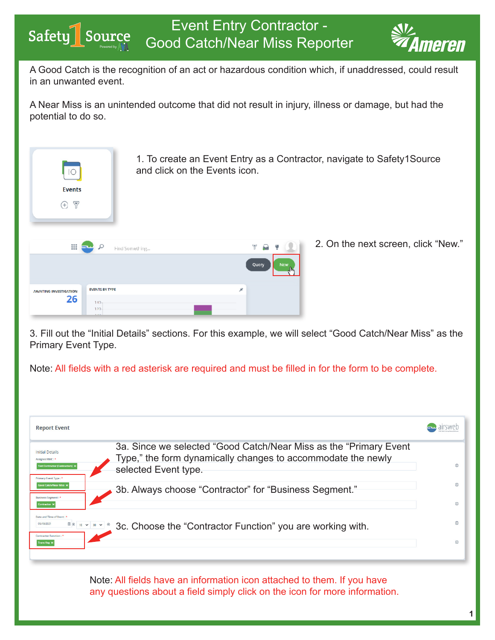

**TATAT** 

A Good Catch is the recognition of an act or hazardous condition which, if unaddressed, could result in an unwanted event.

A Near Miss is an unintended outcome that did not result in injury, illness or damage, but had the potential to do so.

| 1. To create an Event Entry as a Contractor, navigate to Safety1Source<br>and click on the Events icon.<br>$\overline{O}$ |                       |              |                                     |  |  |
|---------------------------------------------------------------------------------------------------------------------------|-----------------------|--------------|-------------------------------------|--|--|
| <b>Events</b>                                                                                                             |                       |              |                                     |  |  |
| $\triangledown$<br>$(+)$                                                                                                  |                       |              |                                     |  |  |
| ₩                                                                                                                         | Find Something        | Query<br>New | 2. On the next screen, click "New." |  |  |
|                                                                                                                           | <b>EVENTS BY TYPE</b> | À            |                                     |  |  |
| <b><i>INVAITING INVESTIGATION</i></b><br>26                                                                               | $140 -$<br>120-       |              |                                     |  |  |

3. Fill out the "Initial Details" sections. For this example, we will select "Good Catch/Near Miss" as the Primary Event Type.

Note: All fields with a red asterisk are required and must be filled in for the form to be complete.

| <b>Report Event</b>                                                                                                                                                                                                                                                       |           |
|---------------------------------------------------------------------------------------------------------------------------------------------------------------------------------------------------------------------------------------------------------------------------|-----------|
| 3a. Since we selected "Good Catch/Near Miss as the "Primary Event"<br><b>Initial Details</b><br>Type," the form dynamically changes to accommodate the newly<br>Assigned RMC: *<br><b>Test Contractor (Contractors):</b><br>selected Event type.<br>Primary Event Type: * | G.        |
| ood Catch/Near Miss :<br>3b. Always choose "Contractor" for "Business Segment."<br><b>Business Segment</b><br>Contractor                                                                                                                                                  | ന         |
| Date and Time of Event: 1<br>$\mathbb{H}\otimes \begin{array}{c c c c c} 10 & \mathbf{v} & 00 & \mathbf{v} & \mathbf{\otimes} \end{array}$<br>05/10/2021<br>3c. Choose the "Contractor Function" you are working with.<br><b>Contractor Function:</b><br><b>Trans Veg</b> | $\bigcap$ |
|                                                                                                                                                                                                                                                                           |           |

Note: All fields have an information icon attached to them. If you have any questions about a field simply click on the icon for more information.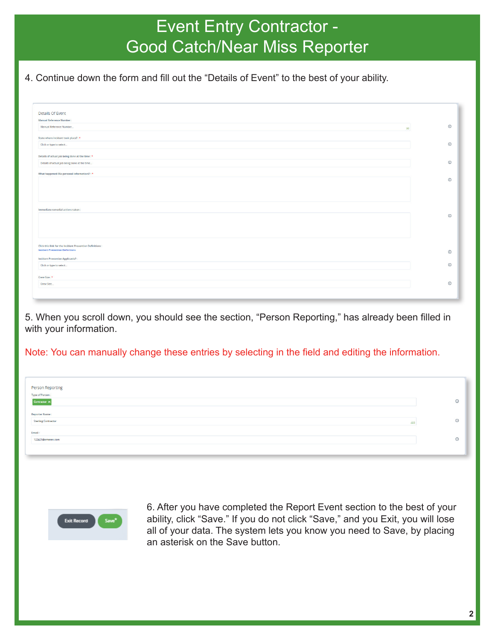## Event Entry Contractor - Good Catch/Near Miss Reporter

## 4. Continue down the form and fill out the "Details of Event" to the best of your ability.

| Details Of Event                                                                                          |            |
|-----------------------------------------------------------------------------------------------------------|------------|
| <b>Manual Reference Number:</b>                                                                           |            |
| Manual Reference Number<br>30 <sup>°</sup>                                                                | $_{\odot}$ |
| State where incident took place?: *                                                                       |            |
| Click or type to select                                                                                   | $\odot$    |
| Details of actual job being done at the time : *                                                          |            |
| Details of actual job being done at the time                                                              | $\odot$    |
| What happened (No personal information)?: *                                                               |            |
|                                                                                                           | $\odot$    |
|                                                                                                           |            |
|                                                                                                           |            |
| Immediate remedial actions taken:                                                                         |            |
|                                                                                                           | $\odot$    |
|                                                                                                           |            |
|                                                                                                           |            |
| <b>Click this link for the Incident Prevention Definitions:</b><br><b>Incident Prevention Definitions</b> |            |
|                                                                                                           | $\odot$    |
| Incident Prevention Applicable?:                                                                          |            |
| Click or type to select                                                                                   | $\odot$    |
| Crew Size: *                                                                                              |            |
| Crew Size                                                                                                 | $\odot$    |
|                                                                                                           |            |

5. When you scroll down, you should see the section, "Person Reporting," has already been filled in with your information.

Note: You can manually change these entries by selecting in the field and editing the information.

| Person Reporting<br>Type of Person:                 | $\odot$ |
|-----------------------------------------------------|---------|
| Contractor $\times$                                 |         |
| <b>Reporter Name:</b><br>Sterling Contractor<br>493 | $\circ$ |
| Email:                                              |         |
| 122421@ameren.com                                   | $\odot$ |
|                                                     |         |



6. After you have completed the Report Event section to the best of your ability, click "Save." If you do not click "Save," and you Exit, you will lose all of your data. The system lets you know you need to Save, by placing an asterisk on the Save button.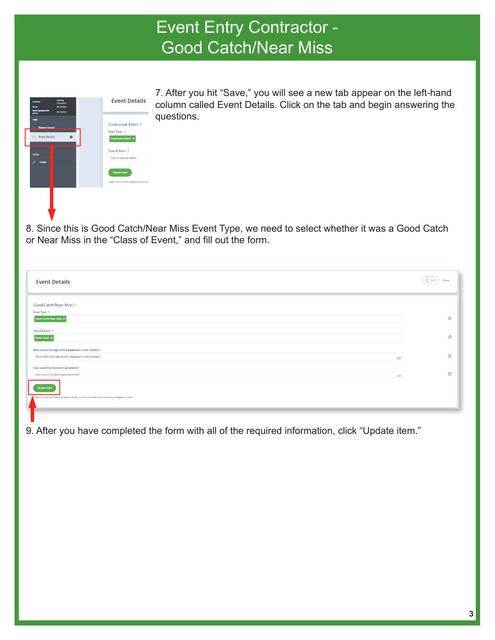## Event Entry Contractor - Event Entry Contractor - **Good Catch/Near Miss**

| <b>Date:</b><br><b>Date Updated On</b><br>(UTC):    | 05/10/2021<br>05/10/2021 |                                                                         |
|-----------------------------------------------------|--------------------------|-------------------------------------------------------------------------|
| TABS<br><b>Report Event</b><br><b>Event Details</b> | $\Omega$                 | <b>Contractor Event 1</b><br>Event Type: *<br><b>Contractor Event X</b> |
| <b>TOOLS</b><br>P<br><b>Links</b>                   |                          | Class Of Event: *<br>Click or type to select<br><b>Update</b> item      |
|                                                     |                          | Note: You will still need to save in c                                  |
|                                                     |                          |                                                                         |

7. After you hit "Save," you will see a new tab appear on the left-hand column called Event Details. Click on the tab and begin answering the questions.

8. Since this is Good Catch/Near Miss Event Type, we need to select whether it was a Good Catch or Near Miss in the "Class of Event," and fill out the form.

| <b>Event Details</b>                                                                              | <br>$\bigoplus$ Add<br>Show<br><b>***********</b> |
|---------------------------------------------------------------------------------------------------|---------------------------------------------------|
| Good Catch/Near Miss 1                                                                            |                                                   |
| Event Type: *<br><b>Good Catch/Near Miss X</b>                                                    | $\odot$                                           |
| Class Of Event: *<br>Good Catch ×                                                                 | $\odot$                                           |
| What Injury/Damage almost happened or was avoided?:                                               |                                                   |
| What Injury/Damage almost happened or was avoided?<br>200<br>How could this have been prevented?: | $\odot$                                           |
| How could this have been prevented ?<br>200                                                       | $\odot$                                           |
| <b>Update item</b>                                                                                |                                                   |
| Note: You will still need to save in order to commit these items and any changes to them.         |                                                   |

9. After you have completed the form with all of the required information, click "Update item."